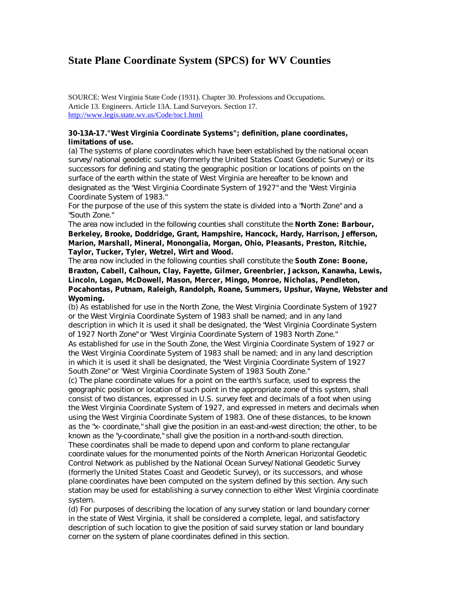## **State Plane Coordinate System (SPCS) for WV Counties**

SOURCE: West Virginia State Code (1931). Chapter 30. Professions and Occupations. Article 13. Engineers. Article 13A. Land Surveyors. Section 17. http://www.legis.state.wv.us/Code/toc1.html

## **30-13A-17."West Virginia Coordinate Systems"; definition, plane coordinates, limitations of use.**

(a) The systems of plane coordinates which have been established by the national ocean survey/national geodetic survey (formerly the United States Coast Geodetic Survey) or its successors for defining and stating the geographic position or locations of points on the surface of the earth within the state of West Virginia are hereafter to be known and designated as the "West Virginia Coordinate System of 1927" and the "West Virginia Coordinate System of 1983."

For the purpose of the use of this system the state is divided into a "North Zone" and a "South Zone."

The area now included in the following counties shall constitute the **North Zone: Barbour, Berkeley, Brooke, Doddridge, Grant, Hampshire, Hancock, Hardy, Harrison, Jefferson, Marion, Marshall, Mineral, Monongalia, Morgan, Ohio, Pleasants, Preston, Ritchie, Taylor, Tucker, Tyler, Wetzel, Wirt and Wood.**

The area now included in the following counties shall constitute the **South Zone: Boone, Braxton, Cabell, Calhoun, Clay, Fayette, Gilmer, Greenbrier, Jackson, Kanawha, Lewis, Lincoln, Logan, McDowell, Mason, Mercer, Mingo, Monroe, Nicholas, Pendleton, Pocahontas, Putnam, Raleigh, Randolph, Roane, Summers, Upshur, Wayne, Webster and Wyoming.**

(b) As established for use in the North Zone, the West Virginia Coordinate System of 1927 or the West Virginia Coordinate System of 1983 shall be named; and in any land description in which it is used it shall be designated, the "West Virginia Coordinate System of 1927 North Zone" or "West Virginia Coordinate System of 1983 North Zone."

As established for use in the South Zone, the West Virginia Coordinate System of 1927 or the West Virginia Coordinate System of 1983 shall be named; and in any land description in which it is used it shall be designated, the "West Virginia Coordinate System of 1927 South Zone" or "West Virginia Coordinate System of 1983 South Zone."

(c) The plane coordinate values for a point on the earth's surface, used to express the geographic position or location of such point in the appropriate zone of this system, shall consist of two distances, expressed in U.S. survey feet and decimals of a foot when using the West Virginia Coordinate System of 1927, and expressed in meters and decimals when using the West Virginia Coordinate System of 1983. One of these distances, to be known as the "x- coordinate," shall give the position in an east-and-west direction; the other, to be known as the "y-coordinate," shall give the position in a north-and-south direction. These coordinates shall be made to depend upon and conform to plane rectangular coordinate values for the monumented points of the North American Horizontal Geodetic Control Network as published by the National Ocean Survey/National Geodetic Survey (formerly the United States Coast and Geodetic Survey), or its successors, and whose plane coordinates have been computed on the system defined by this section. Any such station may be used for establishing a survey connection to either West Virginia coordinate system.

(d) For purposes of describing the location of any survey station or land boundary corner in the state of West Virginia, it shall be considered a complete, legal, and satisfactory description of such location to give the position of said survey station or land boundary corner on the system of plane coordinates defined in this section.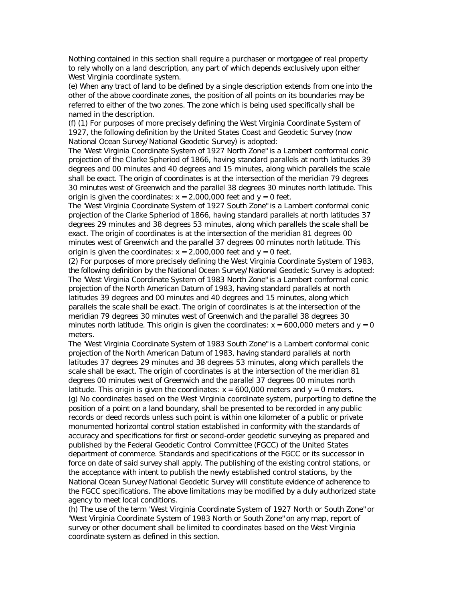Nothing contained in this section shall require a purchaser or mortgagee of real property to rely wholly on a land description, any part of which depends exclusively upon either West Virginia coordinate system.

(e) When any tract of land to be defined by a single description extends from one into the other of the above coordinate zones, the position of all points on its boundaries may be referred to either of the two zones. The zone which is being used specifically shall be named in the description.

(f) (1) For purposes of more precisely defining the West Virginia Coordinate System of 1927, the following definition by the United States Coast and Geodetic Survey (now National Ocean Survey/National Geodetic Survey) is adopted:

The "West Virginia Coordinate System of 1927 North Zone" is a Lambert conformal conic projection of the Clarke Spheriod of 1866, having standard parallels at north latitudes 39 degrees and 00 minutes and 40 degrees and 15 minutes, along which parallels the scale shall be exact. The origin of coordinates is at the intersection of the meridian 79 degrees 30 minutes west of Greenwich and the parallel 38 degrees 30 minutes north latitude. This origin is given the coordinates:  $x = 2,000,000$  feet and  $y = 0$  feet.

The "West Virginia Coordinate System of 1927 South Zone" is a Lambert conformal conic projection of the Clarke Spheriod of 1866, having standard parallels at north latitudes 37 degrees 29 minutes and 38 degrees 53 minutes, along which parallels the scale shall be exact. The origin of coordinates is at the intersection of the meridian 81 degrees 00 minutes west of Greenwich and the parallel 37 degrees 00 minutes north latitude. This origin is given the coordinates:  $x = 2,000,000$  feet and  $y = 0$  feet.

(2) For purposes of more precisely defining the West Virginia Coordinate System of 1983, the following definition by the National Ocean Survey/National Geodetic Survey is adopted: The "West Virginia Coordinate System of 1983 North Zone" is a Lambert conformal conic projection of the North American Datum of 1983, having standard parallels at north latitudes 39 degrees and 00 minutes and 40 degrees and 15 minutes, along which parallels the scale shall be exact. The origin of coordinates is at the intersection of the meridian 79 degrees 30 minutes west of Greenwich and the parallel 38 degrees 30 minutes north latitude. This origin is given the coordinates:  $x = 600,000$  meters and  $y = 0$ meters.

The "West Virginia Coordinate System of 1983 South Zone" is a Lambert conformal conic projection of the North American Datum of 1983, having standard parallels at north latitudes 37 degrees 29 minutes and 38 degrees 53 minutes, along which parallels the scale shall be exact. The origin of coordinates is at the intersection of the meridian 81 degrees 00 minutes west of Greenwich and the parallel 37 degrees 00 minutes north latitude. This origin is given the coordinates:  $x = 600,000$  meters and  $y = 0$  meters. (g) No coordinates based on the West Virginia coordinate system, purporting to define the position of a point on a land boundary, shall be presented to be recorded in any public records or deed records unless such point is within one kilometer of a public or private monumented horizontal control station established in conformity with the standards of accuracy and specifications for first or second-order geodetic surveying as prepared and published by the Federal Geodetic Control Committee (FGCC) of the United States department of commerce. Standards and specifications of the FGCC or its successor in force on date of said survey shall apply. The publishing of the existing control stations, or the acceptance with intent to publish the newly established control stations, by the National Ocean Survey/National Geodetic Survey will constitute evidence of adherence to the FGCC specifications. The above limitations may be modified by a duly authorized state agency to meet local conditions.

(h) The use of the term "West Virginia Coordinate System of 1927 North or South Zone" or "West Virginia Coordinate System of 1983 North or South Zone" on any map, report of survey or other document shall be limited to coordinates based on the West Virginia coordinate system as defined in this section.